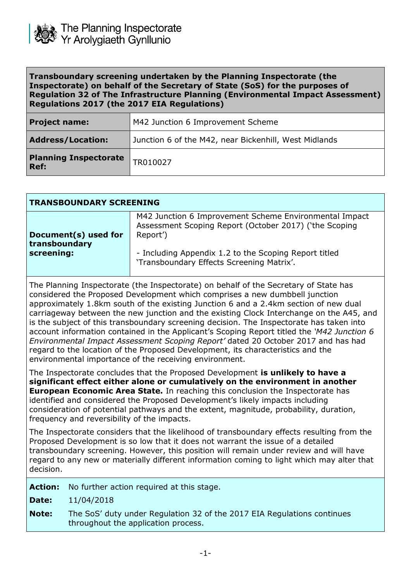

| Transboundary screening undertaken by the Planning Inspectorate (the                  |
|---------------------------------------------------------------------------------------|
| Inspectorate) on behalf of the Secretary of State (SoS) for the purposes of           |
| <b>Regulation 32 of The Infrastructure Planning (Environmental Impact Assessment)</b> |
| Regulations 2017 (the 2017 EIA Regulations)                                           |

| <b>Project name:</b>                 | M42 Junction 6 Improvement Scheme                     |
|--------------------------------------|-------------------------------------------------------|
| <b>Address/Location:</b>             | Junction 6 of the M42, near Bickenhill, West Midlands |
| <b>Planning Inspectorate</b><br>Ref: | TR010027                                              |

| <b>TRANSBOUNDARY SCREENING</b> |                                                                                                                              |  |
|--------------------------------|------------------------------------------------------------------------------------------------------------------------------|--|
| Document(s) used for           | M42 Junction 6 Improvement Scheme Environmental Impact<br>Assessment Scoping Report (October 2017) ('the Scoping<br>Report') |  |
| transboundary<br>screening:    | - Including Appendix 1.2 to the Scoping Report titled<br>'Transboundary Effects Screening Matrix'.                           |  |

The Planning Inspectorate (the Inspectorate) on behalf of the Secretary of State has considered the Proposed Development which comprises a new dumbbell junction approximately 1.8km south of the existing Junction 6 and a 2.4km section of new dual carriageway between the new junction and the existing Clock Interchange on the A45, and is the subject of this transboundary screening decision. The Inspectorate has taken into account information contained in the Applicant's Scoping Report titled the *'M42 Junction 6 Environmental Impact Assessment Scoping Report'* dated 20 October 2017 and has had regard to the location of the Proposed Development, its characteristics and the environmental importance of the receiving environment.

The Inspectorate concludes that the Proposed Development **is unlikely to have a significant effect either alone or cumulatively on the environment in another European Economic Area State.** In reaching this conclusion the Inspectorate has identified and considered the Proposed Development's likely impacts including consideration of potential pathways and the extent, magnitude, probability, duration, frequency and reversibility of the impacts.

The Inspectorate considers that the likelihood of transboundary effects resulting from the Proposed Development is so low that it does not warrant the issue of a detailed transboundary screening. However, this position will remain under review and will have regard to any new or materially different information coming to light which may alter that decision.

| <b>Action:</b> | No further action required at this stage.                                                                      |
|----------------|----------------------------------------------------------------------------------------------------------------|
| Date:          | 11/04/2018                                                                                                     |
| <b>Note:</b>   | The SoS' duty under Regulation 32 of the 2017 EIA Regulations continues<br>throughout the application process. |